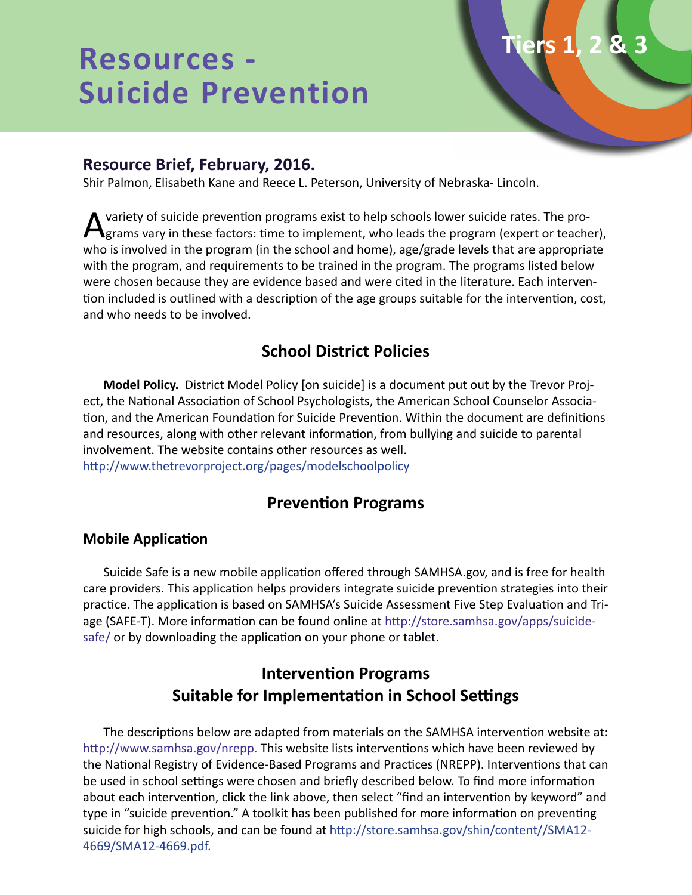# **Resources - Suicide Prevention**

## **Resource Brief, February, 2016.**

Shir Palmon, Elisabeth Kane and Reece L. Peterson, University of Nebraska- Lincoln.

A variety of suicide prevention programs exist to help schools lower suicide rates. The pro-<br>grams vary in these factors: time to implement, who leads the program (expert or teacher), who is involved in the program (in the school and home), age/grade levels that are appropriate with the program, and requirements to be trained in the program. The programs listed below were chosen because they are evidence based and were cited in the literature. Each intervention included is outlined with a description of the age groups suitable for the intervention, cost, and who needs to be involved.

**Tiers 1, 2 & 3**

# **School District Policies**

**Model Policy.** District Model Policy [on suicide] is a document put out by the Trevor Project, the National Association of School Psychologists, the American School Counselor Association, and the American Foundation for Suicide Prevention. Within the document are definitions and resources, along with other relevant information, from bullying and suicide to parental involvement. The website contains other resources as well. http://www.thetrevorproject.org/pages/modelschoolpolicy

# **Prevention Programs**

#### **Mobile Application**

Suicide Safe is a new mobile application offered through SAMHSA.gov, and is free for health care providers. This application helps providers integrate suicide prevention strategies into their practice. The application is based on SAMHSA's Suicide Assessment Five Step Evaluation and Triage (SAFE-T). More information can be found online at http://store.samhsa.gov/apps/suicidesafe/ or by downloading the application on your phone or tablet.

# **Intervention Programs Suitable for Implementation in School Settings**

The descriptions below are adapted from materials on the SAMHSA intervention website at: http://www.samhsa.gov/nrepp. This website lists interventions which have been reviewed by the National Registry of Evidence-Based Programs and Practices (NREPP). Interventions that can be used in school settings were chosen and briefly described below. To find more information about each intervention, click the link above, then select "find an intervention by keyword" and type in "suicide prevention." A toolkit has been published for more information on preventing suicide for high schools, and can be found at http://store.samhsa.gov/shin/content//SMA12- 4669/SMA12-4669.pdf.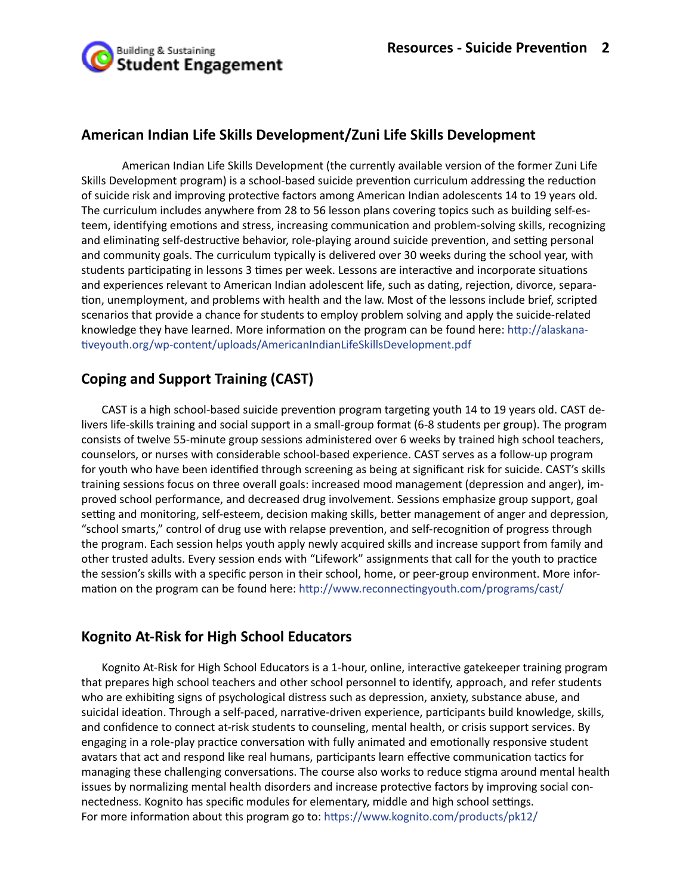

## **American Indian Life Skills Development/Zuni Life Skills Development**

American Indian Life Skills Development (the currently available version of the former Zuni Life Skills Development program) is a school-based suicide prevention curriculum addressing the reduction of suicide risk and improving protective factors among American Indian adolescents 14 to 19 years old. The curriculum includes anywhere from 28 to 56 lesson plans covering topics such as building self-esteem, identifying emotions and stress, increasing communication and problem-solving skills, recognizing and eliminating self-destructive behavior, role-playing around suicide prevention, and setting personal and community goals. The curriculum typically is delivered over 30 weeks during the school year, with students participating in lessons 3 times per week. Lessons are interactive and incorporate situations and experiences relevant to American Indian adolescent life, such as dating, rejection, divorce, separation, unemployment, and problems with health and the law. Most of the lessons include brief, scripted scenarios that provide a chance for students to employ problem solving and apply the suicide-related knowledge they have learned. More information on the program can be found here: http://alaskanativeyouth.org/wp-content/uploads/AmericanIndianLifeSkillsDevelopment.pdf

## **Coping and Support Training (CAST)**

CAST is a high school-based suicide prevention program targeting youth 14 to 19 years old. CAST delivers life-skills training and social support in a small-group format (6-8 students per group). The program consists of twelve 55-minute group sessions administered over 6 weeks by trained high school teachers, counselors, or nurses with considerable school-based experience. CAST serves as a follow-up program for youth who have been identified through screening as being at significant risk for suicide. CAST's skills training sessions focus on three overall goals: increased mood management (depression and anger), improved school performance, and decreased drug involvement. Sessions emphasize group support, goal setting and monitoring, self-esteem, decision making skills, better management of anger and depression, "school smarts," control of drug use with relapse prevention, and self-recognition of progress through the program. Each session helps youth apply newly acquired skills and increase support from family and other trusted adults. Every session ends with "Lifework" assignments that call for the youth to practice the session's skills with a specific person in their school, home, or peer-group environment. More information on the program can be found here: http://www.reconnectingyouth.com/programs/cast/

## **Kognito At-Risk for High School Educators**

Kognito At-Risk for High School Educators is a 1-hour, online, interactive gatekeeper training program that prepares high school teachers and other school personnel to identify, approach, and refer students who are exhibiting signs of psychological distress such as depression, anxiety, substance abuse, and suicidal ideation. Through a self-paced, narrative-driven experience, participants build knowledge, skills, and confidence to connect at-risk students to counseling, mental health, or crisis support services. By engaging in a role-play practice conversation with fully animated and emotionally responsive student avatars that act and respond like real humans, participants learn effective communication tactics for managing these challenging conversations. The course also works to reduce stigma around mental health issues by normalizing mental health disorders and increase protective factors by improving social connectedness. Kognito has specific modules for elementary, middle and high school settings. For more information about this program go to: https://www.kognito.com/products/pk12/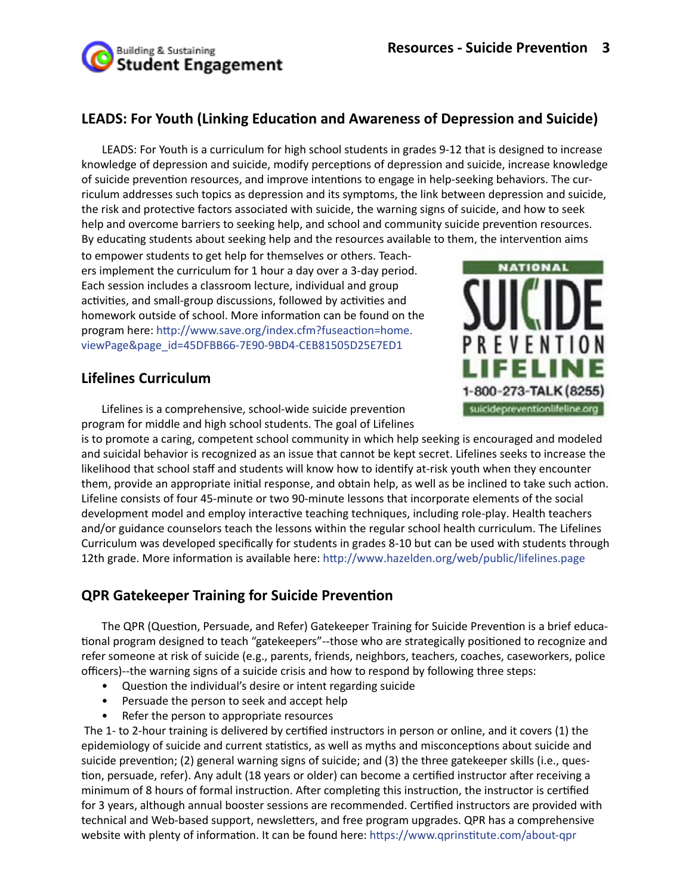## **LEADS: For Youth (Linking Education and Awareness of Depression and Suicide)**

LEADS: For Youth is a curriculum for high school students in grades 9-12 that is designed to increase knowledge of depression and suicide, modify perceptions of depression and suicide, increase knowledge of suicide prevention resources, and improve intentions to engage in help-seeking behaviors. The curriculum addresses such topics as depression and its symptoms, the link between depression and suicide, the risk and protective factors associated with suicide, the warning signs of suicide, and how to seek help and overcome barriers to seeking help, and school and community suicide prevention resources. By educating students about seeking help and the resources available to them, the intervention aims

to empower students to get help for themselves or others. Teachers implement the curriculum for 1 hour a day over a 3-day period. Each session includes a classroom lecture, individual and group activities, and small-group discussions, followed by activities and homework outside of school. More information can be found on the program here: http://www.save.org/index.cfm?fuseaction=home. viewPage&page\_id=45DFBB66-7E90-9BD4-CEB81505D25E7ED1

## **Lifelines Curriculum**

Lifelines is a comprehensive, school-wide suicide prevention program for middle and high school students. The goal of Lifelines



is to promote a caring, competent school community in which help seeking is encouraged and modeled and suicidal behavior is recognized as an issue that cannot be kept secret. Lifelines seeks to increase the likelihood that school staff and students will know how to identify at-risk youth when they encounter them, provide an appropriate initial response, and obtain help, as well as be inclined to take such action. Lifeline consists of four 45-minute or two 90-minute lessons that incorporate elements of the social development model and employ interactive teaching techniques, including role-play. Health teachers and/or guidance counselors teach the lessons within the regular school health curriculum. The Lifelines Curriculum was developed specifically for students in grades 8-10 but can be used with students through 12th grade. More information is available here: http://www.hazelden.org/web/public/lifelines.page

# **QPR Gatekeeper Training for Suicide Prevention**

The QPR (Question, Persuade, and Refer) Gatekeeper Training for Suicide Prevention is a brief educational program designed to teach "gatekeepers"--those who are strategically positioned to recognize and refer someone at risk of suicide (e.g., parents, friends, neighbors, teachers, coaches, caseworkers, police officers)--the warning signs of a suicide crisis and how to respond by following three steps:

- Question the individual's desire or intent regarding suicide
- Persuade the person to seek and accept help
- Refer the person to appropriate resources

 The 1- to 2-hour training is delivered by certified instructors in person or online, and it covers (1) the epidemiology of suicide and current statistics, as well as myths and misconceptions about suicide and suicide prevention; (2) general warning signs of suicide; and (3) the three gatekeeper skills (i.e., question, persuade, refer). Any adult (18 years or older) can become a certified instructor after receiving a minimum of 8 hours of formal instruction. After completing this instruction, the instructor is certified for 3 years, although annual booster sessions are recommended. Certified instructors are provided with technical and Web-based support, newsletters, and free program upgrades. QPR has a comprehensive website with plenty of information. It can be found here: https://www.qprinstitute.com/about-qpr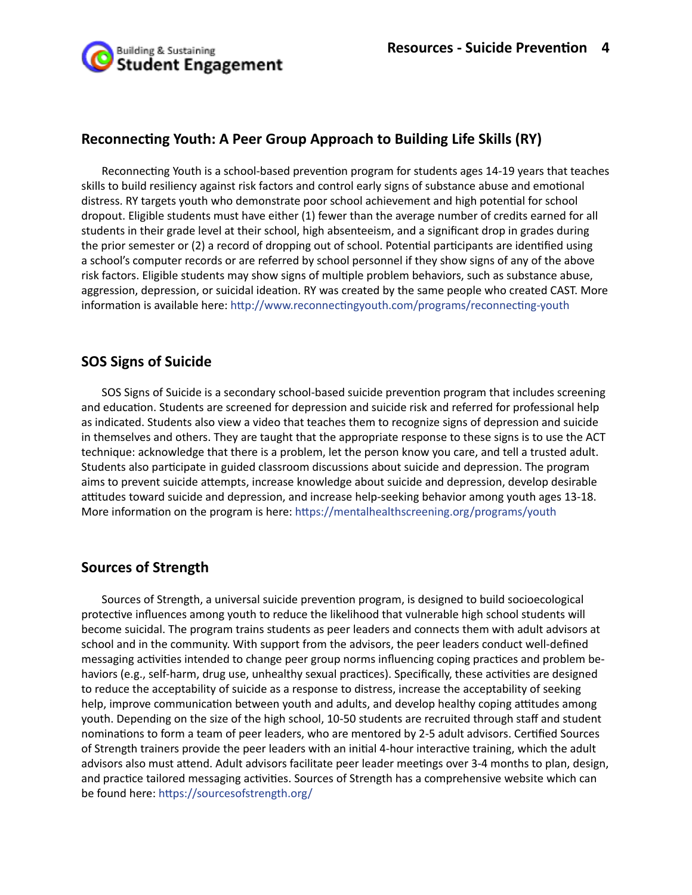## **Reconnecting Youth: A Peer Group Approach to Building Life Skills (RY)**

Reconnecting Youth is a school-based prevention program for students ages 14-19 years that teaches skills to build resiliency against risk factors and control early signs of substance abuse and emotional distress. RY targets youth who demonstrate poor school achievement and high potential for school dropout. Eligible students must have either (1) fewer than the average number of credits earned for all students in their grade level at their school, high absenteeism, and a significant drop in grades during the prior semester or (2) a record of dropping out of school. Potential participants are identified using a school's computer records or are referred by school personnel if they show signs of any of the above risk factors. Eligible students may show signs of multiple problem behaviors, such as substance abuse, aggression, depression, or suicidal ideation. RY was created by the same people who created CAST. More information is available here: http://www.reconnectingyouth.com/programs/reconnecting-youth

## **SOS Signs of Suicide**

SOS Signs of Suicide is a secondary school-based suicide prevention program that includes screening and education. Students are screened for depression and suicide risk and referred for professional help as indicated. Students also view a video that teaches them to recognize signs of depression and suicide in themselves and others. They are taught that the appropriate response to these signs is to use the ACT technique: acknowledge that there is a problem, let the person know you care, and tell a trusted adult. Students also participate in guided classroom discussions about suicide and depression. The program aims to prevent suicide attempts, increase knowledge about suicide and depression, develop desirable attitudes toward suicide and depression, and increase help-seeking behavior among youth ages 13-18. More information on the program is here: https://mentalhealthscreening.org/programs/youth

## **Sources of Strength**

Sources of Strength, a universal suicide prevention program, is designed to build socioecological protective influences among youth to reduce the likelihood that vulnerable high school students will become suicidal. The program trains students as peer leaders and connects them with adult advisors at school and in the community. With support from the advisors, the peer leaders conduct well-defined messaging activities intended to change peer group norms influencing coping practices and problem behaviors (e.g., self-harm, drug use, unhealthy sexual practices). Specifically, these activities are designed to reduce the acceptability of suicide as a response to distress, increase the acceptability of seeking help, improve communication between youth and adults, and develop healthy coping attitudes among youth. Depending on the size of the high school, 10-50 students are recruited through staff and student nominations to form a team of peer leaders, who are mentored by 2-5 adult advisors. Certified Sources of Strength trainers provide the peer leaders with an initial 4-hour interactive training, which the adult advisors also must attend. Adult advisors facilitate peer leader meetings over 3-4 months to plan, design, and practice tailored messaging activities. Sources of Strength has a comprehensive website which can be found here: https://sourcesofstrength.org/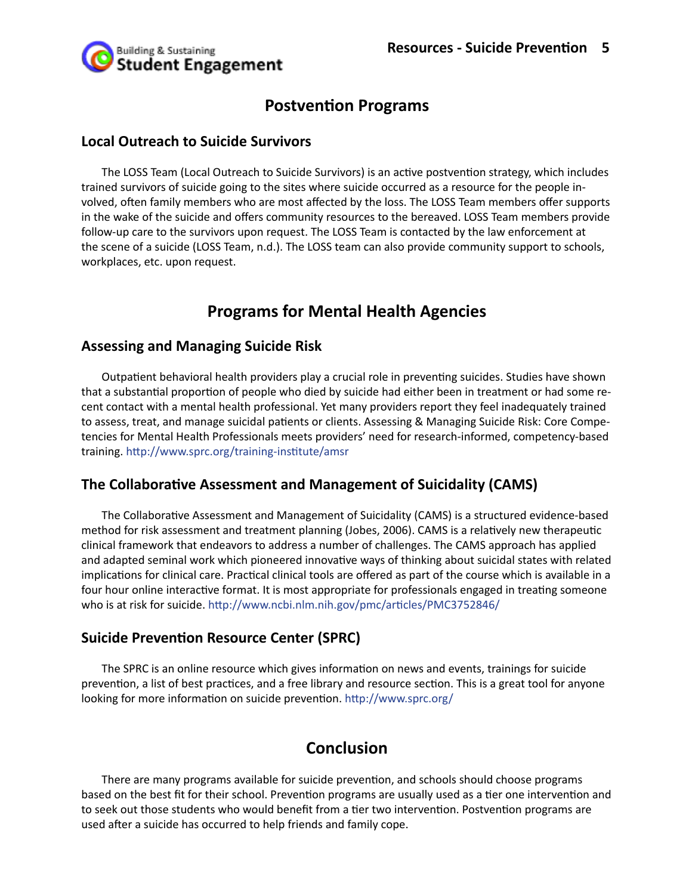

# **Postvention Programs**

#### **Local Outreach to Suicide Survivors**

The LOSS Team (Local Outreach to Suicide Survivors) is an active postvention strategy, which includes trained survivors of suicide going to the sites where suicide occurred as a resource for the people involved, often family members who are most affected by the loss. The LOSS Team members offer supports in the wake of the suicide and offers community resources to the bereaved. LOSS Team members provide follow-up care to the survivors upon request. The LOSS Team is contacted by the law enforcement at the scene of a suicide (LOSS Team, n.d.). The LOSS team can also provide community support to schools, workplaces, etc. upon request.

# **Programs for Mental Health Agencies**

#### **Assessing and Managing Suicide Risk**

Outpatient behavioral health providers play a crucial role in preventing suicides. Studies have shown that a substantial proportion of people who died by suicide had either been in treatment or had some recent contact with a mental health professional. Yet many providers report they feel inadequately trained to assess, treat, and manage suicidal patients or clients. Assessing & Managing Suicide Risk: Core Competencies for Mental Health Professionals meets providers' need for research-informed, competency-based training. http://www.sprc.org/training-institute/amsr

## **The Collaborative Assessment and Management of Suicidality (CAMS)**

The Collaborative Assessment and Management of Suicidality (CAMS) is a structured evidence-based method for risk assessment and treatment planning (Jobes, 2006). CAMS is a relatively new therapeutic clinical framework that endeavors to address a number of challenges. The CAMS approach has applied and adapted seminal work which pioneered innovative ways of thinking about suicidal states with related implications for clinical care. Practical clinical tools are offered as part of the course which is available in a four hour online interactive format. It is most appropriate for professionals engaged in treating someone who is at risk for suicide. http://www.ncbi.nlm.nih.gov/pmc/articles/PMC3752846/

## **Suicide Prevention Resource Center (SPRC)**

The SPRC is an online resource which gives information on news and events, trainings for suicide prevention, a list of best practices, and a free library and resource section. This is a great tool for anyone looking for more information on suicide prevention. http://www.sprc.org/

# **Conclusion**

There are many programs available for suicide prevention, and schools should choose programs based on the best fit for their school. Prevention programs are usually used as a tier one intervention and to seek out those students who would benefit from a tier two intervention. Postvention programs are used after a suicide has occurred to help friends and family cope.